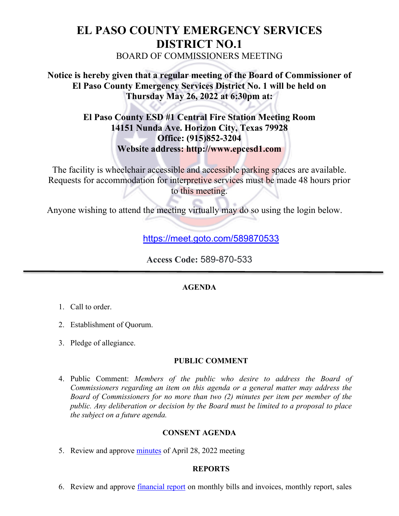# **EL PASO COUNTY EMERGENCY SERVICES DISTRICT NO.1** BOARD OF COMMISSIONERS MEETING

# **Notice is hereby given that a regular meeting of the Board of Commissioner of El Paso County Emergency Services District No. 1 will be held on Thursday May 26, 2022 at 6:30pm at:**

# **El Paso County ESD #1 Central Fire Station Meeting Room 14151 Nunda Ave. Horizon City, Texas 79928 Office: (915)852-3204 Website address: http://www.epcesd1.com**

The facility is wheelchair accessible and accessible parking spaces are available. Requests for accommodation for interpretive services must be made 48 hours prior to this meeting.

Anyone wishing to attend the meeting virtually may do so using the login below.

https://meet.goto.com/589870533

**Access Code:** 589-870-533

## **AGENDA**

- 1. Call to order.
- 2. Establishment of Quorum.
- 3. Pledge of allegiance.

## **PUBLIC COMMENT**

4. Public Comment: *Members of the public who desire to address the Board of Commissioners regarding an item on this agenda or a general matter may address the Board of Commissioners for no more than two (2) minutes per item per member of the public. Any deliberation or decision by the Board must be limited to a proposal to place the subject on a future agenda.*

## **CONSENT AGENDA**

5. Review and approve minutes of April 28, 2022 meeting

## **REPORTS**

6. Review and approve financial report on monthly bills and invoices, monthly report, sales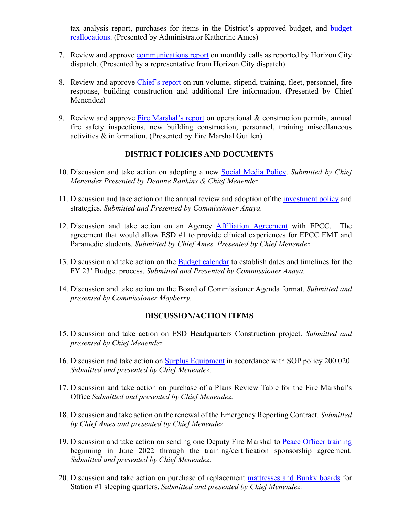tax analysis report, purchases for items in the District's approved budget, and budget reallocations. (Presented by Administrator Katherine Ames)

- 7. Review and approve communications report on monthly calls as reported by Horizon City dispatch. (Presented by a representative from Horizon City dispatch)
- 8. Review and approve Chief's report on run volume, stipend, training, fleet, personnel, fire response, building construction and additional fire information. (Presented by Chief Menendez)
- 9. Review and approve Fire Marshal's report on operational & construction permits, annual fire safety inspections, new building construction, personnel, training miscellaneous activities & information. (Presented by Fire Marshal Guillen)

#### **DISTRICT POLICIES AND DOCUMENTS**

- 10. Discussion and take action on adopting a new Social Media Policy. *Submitted by Chief Menendez Presented by Deanne Rankins & Chief Menendez.*
- 11. Discussion and take action on the annual review and adoption of the investment policy and strategies. *Submitted and Presented by Commissioner Anaya.*
- 12. Discussion and take action on an Agency Affiliation Agreement with EPCC. The agreement that would allow ESD #1 to provide clinical experiences for EPCC EMT and Paramedic students. *Submitted by Chief Ames, Presented by Chief Menendez.*
- 13. Discussion and take action on the Budget calendar to establish dates and timelines for the FY 23' Budget process. *Submitted and Presented by Commissioner Anaya.*
- 14. Discussion and take action on the Board of Commissioner Agenda format. *Submitted and presented by Commissioner Mayberry.*

#### **DISCUSSION/ACTION ITEMS**

- 15. Discussion and take action on ESD Headquarters Construction project. *Submitted and presented by Chief Menendez.*
- 16. Discussion and take action on Surplus Equipment in accordance with SOP policy 200.020. *Submitted and presented by Chief Menendez.*
- 17. Discussion and take action on purchase of a Plans Review Table for the Fire Marshal's Office *Submitted and presented by Chief Menendez.*
- 18. Discussion and take action on the renewal of the Emergency Reporting Contract. *Submitted by Chief Ames and presented by Chief Menendez.*
- 19. Discussion and take action on sending one Deputy Fire Marshal to Peace Officer training beginning in June 2022 through the training/certification sponsorship agreement. *Submitted and presented by Chief Menendez.*
- 20. Discussion and take action on purchase of replacement mattresses and Bunky boards for Station #1 sleeping quarters. *Submitted and presented by Chief Menendez.*